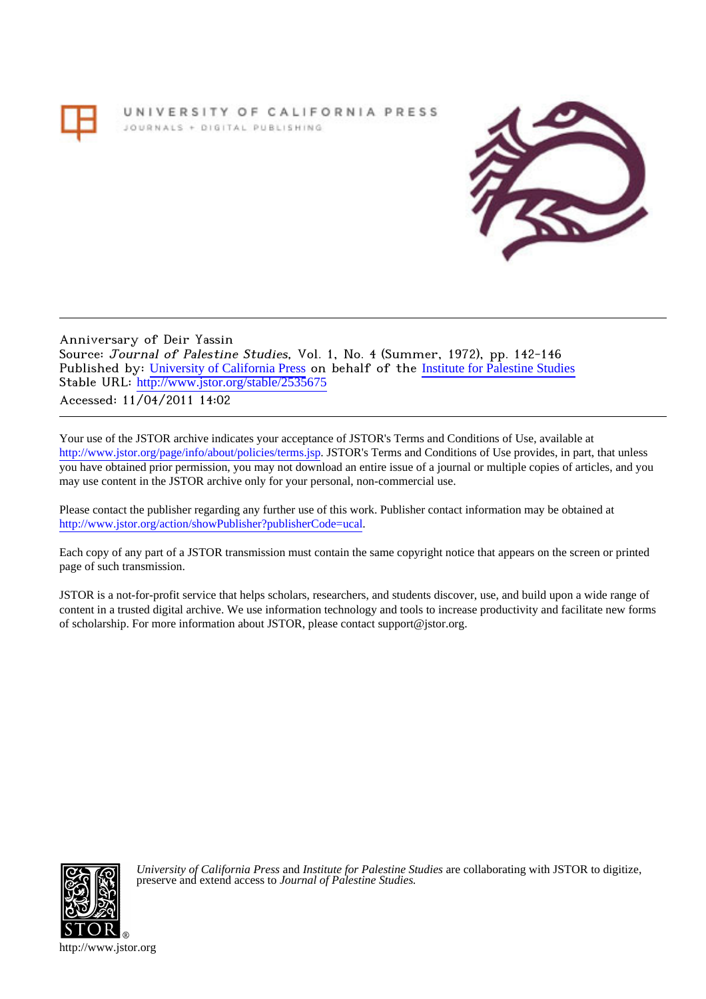UNIVERSITY OF CALIFORNIA PRESS JOURNALS + DIGITAL PUBLISHING



# Anniversary of Deir Yassin Source: Journal of Palestine Studies, Vol. 1, No. 4 (Summer, 1972), pp. 142-146 Published by: [University of California Press](http://www.jstor.org/action/showPublisher?publisherCode=ucal) on behalf of the [Institute for Palestine Studies](http://www.jstor.org/action/showPublisher?publisherCode=palstud) Stable URL: [http://www.jstor.org/stable/2535675](http://www.jstor.org/stable/2535675?origin=JSTOR-pdf) Accessed: 11/04/2011 14:02

Your use of the JSTOR archive indicates your acceptance of JSTOR's Terms and Conditions of Use, available at <http://www.jstor.org/page/info/about/policies/terms.jsp>. JSTOR's Terms and Conditions of Use provides, in part, that unless you have obtained prior permission, you may not download an entire issue of a journal or multiple copies of articles, and you may use content in the JSTOR archive only for your personal, non-commercial use.

Please contact the publisher regarding any further use of this work. Publisher contact information may be obtained at [http://www.jstor.org/action/showPublisher?publisherCode=ucal.](http://www.jstor.org/action/showPublisher?publisherCode=ucal) .

Each copy of any part of a JSTOR transmission must contain the same copyright notice that appears on the screen or printed page of such transmission.

JSTOR is a not-for-profit service that helps scholars, researchers, and students discover, use, and build upon a wide range of content in a trusted digital archive. We use information technology and tools to increase productivity and facilitate new forms of scholarship. For more information about JSTOR, please contact support@jstor.org.



*University of California Press* and *Institute for Palestine Studies* are collaborating with JSTOR to digitize, preserve and extend access to *Journal of Palestine Studies.*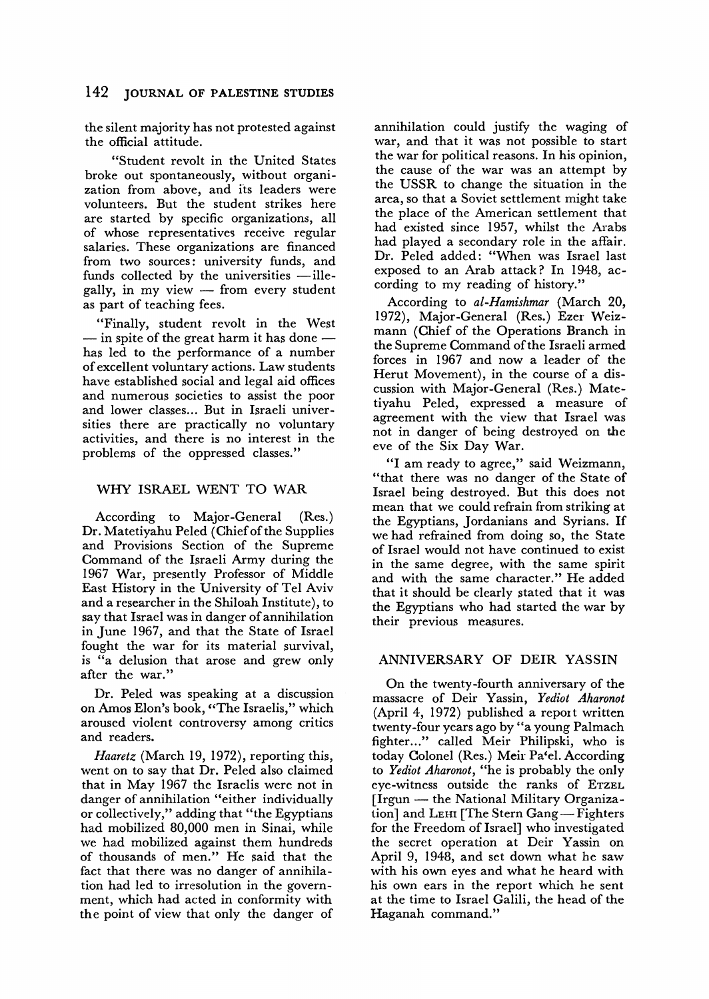## 142 JOURNAL OF PALESTINE STUDIES

the silent majority has not protested against the official attitude.

"Student revolt in the United States broke out spontaneously, witbout organization from above, and its leaders were volunteers. But the student strikes here are started by specific organizations, all of whose representatives receive regular salaries. These organizations are financed from two sources: university funds, and funds collected by the universities  $-$ illegally, in my view  $-$  from every student as part of teaching fees.

"Finally, student revolt in the West  $-$  in spite of the great harm it has done  $$ has led to the performance of a number of excellent voluntary actions. Law students have established social and legal aid offices and numerous societies to assist the poor and lower classes... But in Israeli universities there are practically no voluntary activities, and there is no interest in the problems of the oppressed classes."

### WHY ISRAEL WENT TO WAR

According to Major-General (Res.) Dr. Matetiyahu Peled (Chief of the Supplies and Provisions Section of the Supreme Command of the Israeli Army during the 1967 War, presently Professor of Middle East History in the University of Tel Aviv and a researcher in the Shiloah Institute), to say that Israel was in danger of annihilation in June 1967, and that the State of Israel fought the war for its material survival, is "a delusion that arose and grew only after the war."

Dr. Peled was speaking at a discussion on Amos Elon's book, "The Israelis," which aroused violent controversy among critics and readers.

Haaretz (March 19, 1972), reporting this, went on to say that Dr. Peled also claimed that in May 1967 the Israelis were not in danger of annihilation "either individually or collectively," adding that "the Egyptians had mobilized 80,000 men in Sinai, while we had mobilized against them hundreds of thousands of men." He said that the fact that there was no danger of annihilation had led to irresolution in the government, which had acted in conformity with the point of view that only the danger of annihilation could justify the waging of war, and that it was not possible to start the war for political reasons. In his opinion, the cause of the war was an attempt by the USSR to change the situation in the area, so that a Soviet settlement might take the place of the American settlement that had existed since 1957, whilst the Arabs had played a secondary role in the affair. Dr. Peled added: "When was Israel last exposed to an Arab attack? In 1948, according to my reading of history."

According to al-Hamishmar (March 20, 1972), Major-General (Res.) Ezer Weizmann (Chief of the Operations Branch in the Supreme Command of the Israeli armed forces in 1967 and now a leader of the Herut Movement), in the course of a discussion with Major-General (Res.) Matetiyahu Peled, expressed a measure of agreement with the view that Israel was not in danger of being destroyed on the eve of the Six Day War.

"I am ready to agree," said Weizmann, "that there was no danger of the State of Israel being destroyed. But this does not mean that we could refrain from striking at the Egyptians, Jordanians and Syrians. If we had refrained from doing so, the State of Israel would not have continued to exist in the same degree, with the same spirit and with the same character." He added that it should be clearly stated that it was the Egyptians who had started the war by their previous measures.

### ANNIVERSARY OF DEIR YASSIN

On the twenty-fourth anniversary of the massacre of Deir Yassin, Yediot Aharonot (April 4, 1972) published a report written twenty-four years ago by "a young Palmach fighter..." called Meir Philipski, who is today Colonel (Res.) Meir Pa'el. According to Yediot Aharonot, "he is probably the only eye-witness outside the ranks of ETZEL [Irgun - the National Military Organization] and LEHI [The Stern Gang - Fighters for the Freedom of Israel] who investigated the secret operation at Deir Yassin on April 9, 1948, and set down what he saw with his own eyes and what he heard with his own ears in the report which he sent at the time to Israel Galili, the head of the Haganah command."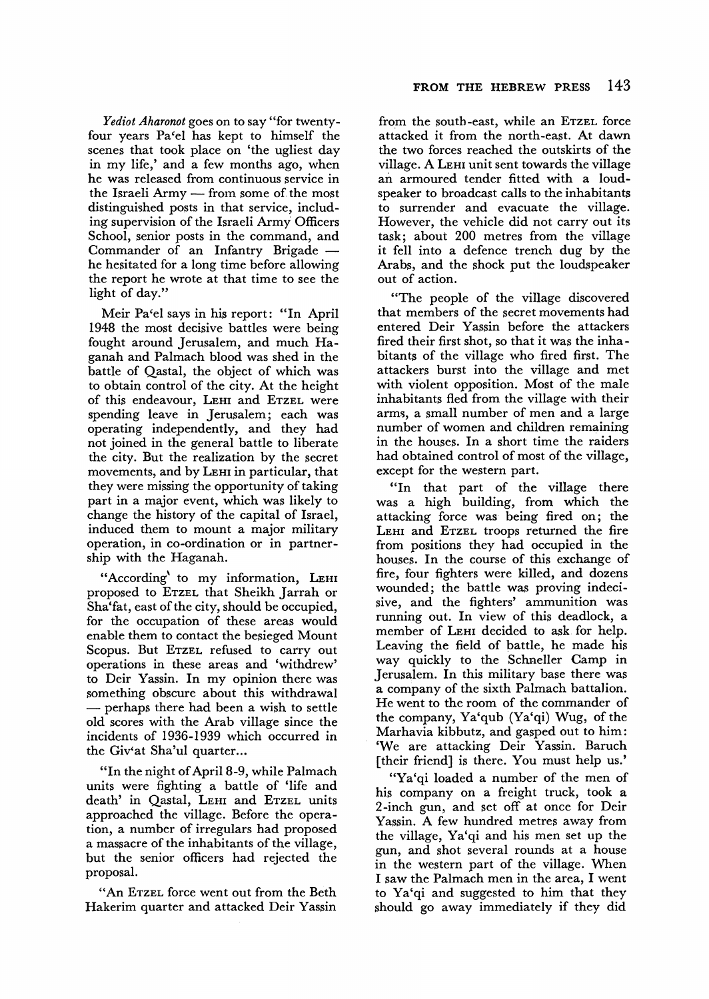Yediot Aharonot goes on to say "for twentyfour years Pa'el has kept to himself the scenes that took place on 'the ugliest day in my life,' and a few months ago, when he was released from continuous service in the Israeli Army  $-$  from some of the most distinguished posts in that service, including supervision of the Israeli Army Officers School, senior posts in the command, and Commander of an Infantry Brigade he hesitated for a long time before allowing the report he wrote at that time to see the light of day."

Meir Pa'el says in his report: "In April 1948 the most decisive battles were being fought around Jerusalem, and much Haganah and Palmach blood was shed in the battle of Qastal, the object of which was to obtain control of the city. At the height of this endeavour, LEHI and ETZEL were spending leave in Jerusalem; each was operating independently, and they had not joined in the general battle to liberate the city. But the realization by the secret movements, and by LEHI in particular, that they were missing the opportunity of taking part in a major event, which was likely to change the history of the capital of Israel, induced them to mount a major military operation, in co-ordination or in partnership with the Haganah.

"According' to my information, LEHI proposed to ETZEL that Sheikh Jarrah or Sha'fat, east of the city, should be occupied, for the occupation of these areas would enable them to contact the besieged Mount Scopus. But ETZEL refused to carry out operations in these areas and 'withdrew' to Deir Yassin. In my opinion there was something obscure about this withdrawal - perhaps there had been a wish to settle old scores with the Arab village since the incidents of 1936-1939 which occurred in the Giv'at Sha'ul quarter...

"In the night of April 8-9, while Palmach units were fighting a battle of 'life and death' in Qastal, LEHI and ETZEL units approached the village. Before the operation, a number of irregulars had proposed a massacre of the inhabitants of the village, but the senior officers had rejected the proposal.

"An ETZEL force went out from the Beth Hakerim quarter and attacked Deir Yassin from the south-east, while an ETZEL force attacked it from the north-east. At dawn the two forces reached the outskirts of the village. A LEHI unit sent towards the village an armoured tender fitted with a loudspeaker to broadcast calls to the inhabitants to surrender and evacuate the village. However, the vehicle did not carry out its task; about 200 metres from the village it fell into a defence trench dug by the Arabs, and the shock put the loudspeaker out of action.

"The people of the village discovered that members of the secret movements had entered Deir Yassin before the attackers fired their first shot, so that it was the inhabitants of the village who fired first. The attackers burst into the village and met with violent opposition. Most of the male inhabitants fled from the village with their arms, a small number of men and a large number of women and children remaining in the houses. In a short time the raiders had obtained control of most of the village, except for the western part.

"In that part of the village there was a high building, from which the attacking force was being fired on; the LEHI and ETZEL troops returned the fire from positions they had occupied in the houses. In the course of this exchange of fire, four fighters were killed, and dozens wounded; the battle was proving indecisive, and the fighters' ammunition was running out. In view of this deadlock, a member of LEHI decided to ask for help. Leaving the field of battle, he made his way quickly to the Schneller Camp in Jerusalem. In this military base there was a company of the sixth Palmach battalion. He went to the room of the commander of the company, Ya'qub (Ya'qi) Wug, of the Marhavia kibbutz, and gasped out to him: 'We are attacking Deir Yassin. Baruch [their friend] is there. You must help us.'

"Ya'qi loaded a number of the men of his company on a freight truck, took a 2-inch gun, and set off at once for Deir Yassin. A few hundred metres away from the village, Ya'qi and his men set up the gun, and shot several rounds at a house in the western part of the village. When I saw the Palmach men in the area, I went to Ya'qi and suggested to him that they should go away immediately if they did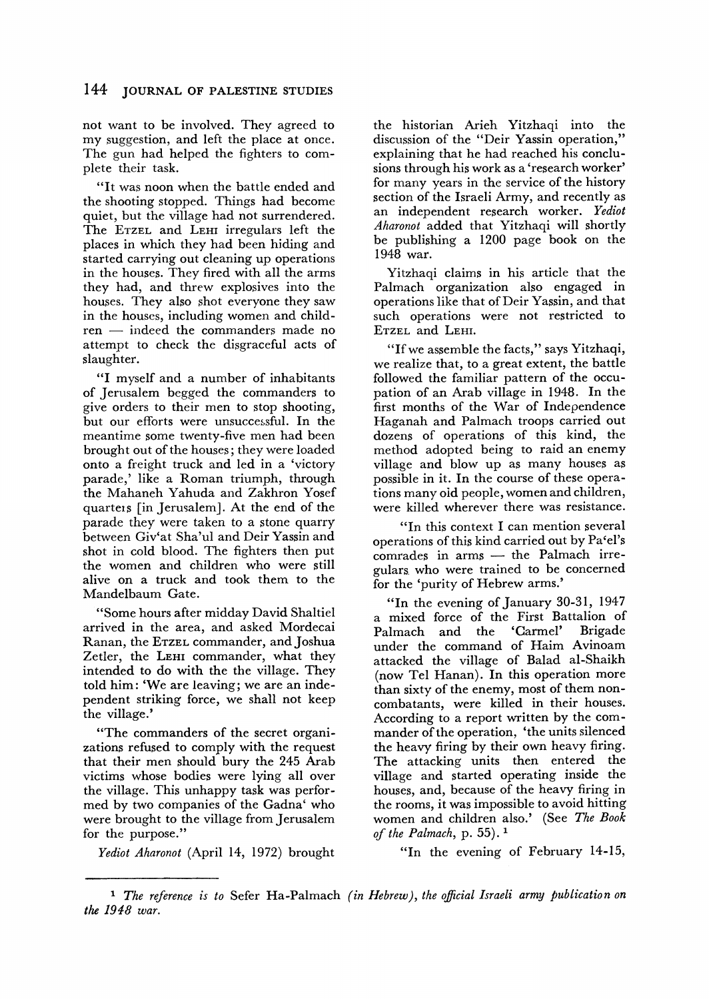# 144 JOURNAL OF PALESTINE STUDIES

not want to be involved. They agreed to my suggestion, and left the place at once. The gun had helped the fighters to complete their task.

"It was noon when the battle ended and the shooting stopped. Things had become quiet, but the village had not surrendered. The ETZEL and LEHI irregulars left the places in which they had been hiding and started carrying out cleaning up operations in the houses. They fired with all the arms they had, and threw explosives into the houses. They also shot everyone they saw in the houses, including women and children - indeed the commanders made no attempt to check the disgraceful acts of slaughter.

"I myself and a number of inhabitants of Jerusalem begged the commanders to give orders to their men to stop shooting, but our efforts were unsuccessful. In the meantime some twenty-five men had been brought out of the houses; they were loaded onto a freight truck and led in a 'victory parade,' like a Roman triumph, through the Mahaneh Yahuda and Zakhron Yosef quarteis [in Jerusalem]. At the end of the parade they were taken to a stone quarry between Giv'at Sha'ul and Deir Yassin and shot in cold blood. The fighters then put the women and children who were still alive on a truck and took them to the Mandelbaum Gate.

"Some hours after midday David Shaltiel arrived in the area, and asked Mordecai Ranan, the ETZEL commander, and Joshua Zetler, the LEHI commander, what they intended to do with the the village. They told him: 'We are leaving; we are an independent striking force, we shall not keep the village.'

"The commanders of the secret organizations refused to comply with the request that their men should bury the 245 Arab victims whose bodies were lying all over the village. This unhappy task was performed by two companies of the Gadna' who were brought to the village from Jerusalem for the purpose."

the historian Arieh Yitzhaqi into the discussion of the "Deir Yassin operation," explaining that he had reached his conclusions through his work as a 'research worker' for many years in the service of the history section of the Israeli Army, and recently as an independent research worker. Yediot Aharonot added that Yitzhaqi will shortly be publishing a 1200 page book on the 1948 war.

Yitzhaqi claims in his article that the Palmach organization also engaged in operations like that of Deir Yassin, and that such operations were not restricted to ETZEL and LEHI.

"If we assemble the facts," says Yitzhaqi, we realize that, to a great extent, the battle followed the familiar pattern of the occupation of an Arab village in 1948. In the first months of the War of Independence Haganah and Palmach troops carried out dozens of operations of this kind, the method adopted being to raid an enemy village and blow up as many houses as possible in it. In the course of these operations many oid people, women and children, were killed wherever there was resistance.

"In this context I can mention several operations of this kind carried out by Pa'el's  $commutes$  in arms  $-$  the Palmach irregulars who were trained to be concerned for the 'purity of Hebrew arms.'

"In the evening of January 30-31, 1947 a mixed force of the First Battalion of<br>Palmach and the 'Carmel' Brigade Palmach and the under the command of Haim Avinoam attacked the village of Balad al-Shaikh (now Tel Hanan). In this operation more than sixty of the enemy, most of them noncombatants, were killed in their houses. According to a report written by the commander of the operation, 'the units silenced the heavy firing by their own heavy firing. The attacking units then entered the village and started operating inside the houses, and, because of the heavy firing in the rooms, it was impossible to avoid hitting women and children also.' (See The Book of the Palmach, p. 55).  $1$ 

Yediot Aharonot (April 14, 1972) brought

"In the evening of February 14-15,

<sup>&</sup>lt;sup>1</sup> The reference is to Sefer Ha-Palmach (in Hebrew), the official Israeli army publication on the 1948 war.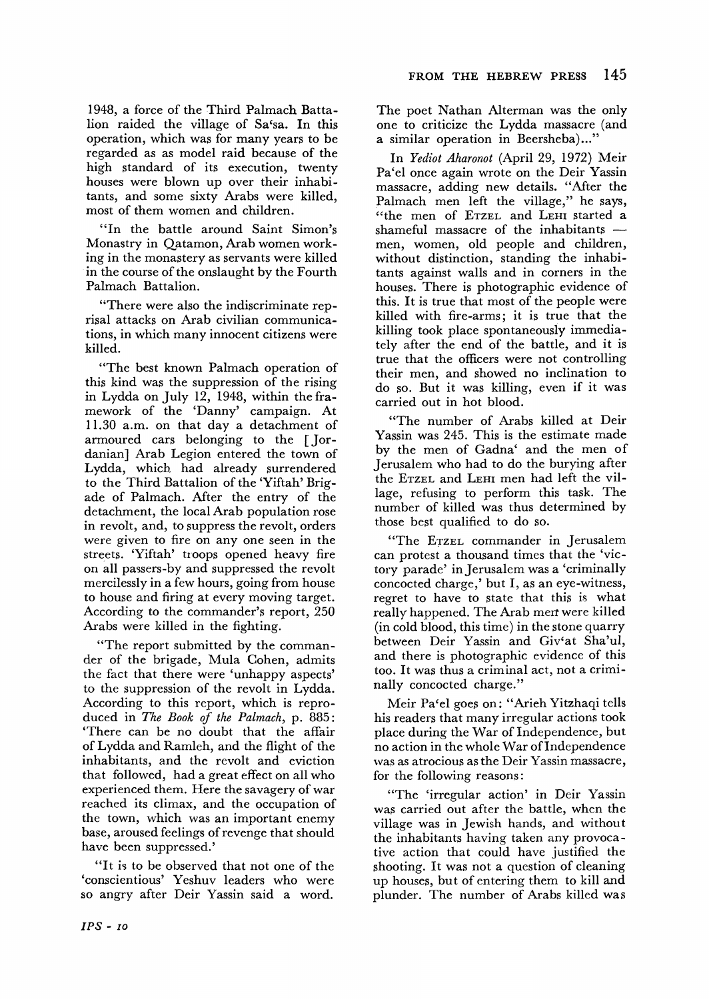1948, a force of the Third Palmach Battalion raided the village of Sa'sa. In this operation, which was for many years to be regarded as as model raid because of the high standard of its execution, twenty houses were blown up over their inhabitants, and some sixty Arabs were killed, most of them women and children.

"In the battle around Saint Simon's Monastry in Qatamon, Arab women working in the monastery as servants were killed in the course of the onslaught by the Fourth Palmach Battalion.

"There were also the indiscriminate reprisal attacks on Arab civilian communications, in which many innocent citizens were killed.

"The best known Palmach operation of this kind was the suppression of the rising in Lydda on July 12, 1948, within the framework of the 'Danny' campaign. At 11.30 a.m. on that day a detachment of armoured cars belonging to the [Jordanian] Arab Legion entered the town of Lydda, which had already surrendered to the Third Battalion of the 'Yiftah' Brigade of Palmach. After the entry of the detachment, the local Arab population rose in revolt, and, to suppress the revolt, orders were given to fire on any one seen in the streets. 'Yiftah' troops opened heavy fire on all passers-by and suppressed the revolt mercilessly in a few hours, going from house to house and firing at every moving target. According to the commander's report, 250 Arabs were killed in the fighting.

"The report submitted by the commander of the brigade, Mula Cohen, admits the fact that there were 'unhappy aspects' to the suppression of the revolt in Lydda. According to this report, which is reproduced in The Book of the Palmach, p. 885: 'There can be no doubt that the affair of Lydda and Ramleh, and the flight of the inhabitants, and the revolt and eviction that followed, had a great effect on all who experienced them. Here the savagery of war reached its climax, and the occupation of the town, which was an important enemy base, aroused feelings of revenge that should have been suppressed.'

"It is to be observed that not one of the 'conscientious' Yeshuv leaders who were so angry after Deir Yassin said a word. The poet Nathan Alterman was the only one to criticize the Lydda massacre (and a similar operation in Beersheba)..."

In Yediot Aharonot (April 29, 1972) Meir Pa'el once again wrote on the Deir Yassin massacre, adding new details. "After the Palmach men left the village," he says, "the men of ETZEL and LEHI started a shameful massacre of the inhabitants  $$ men, women, old people and children, without distinction, standing the inhabitants against walls and in corners in the houses. There is photographic evidence of this. It is true that most of the people were killed with fire-arms; it is true that the killing took place spontaneously immediately after the end of the battle, and it is true that the officers were not controlling their men, and showed no inclination to do so. But it was killing, even if it was carried out in hot blood.

"The number of Arabs killed at Deir Yassin was 245. This is the estimate made by the men of Gadna' and the men of Jerusalem who had to do the burying after the ETZEL and LEHI men had left the village, refusing to perform this task. The number of killed was thus determined by those best qualified to do so.

"The ETZEL commander in Jerusalem can protest a thousand times that the 'victory parade' in Jerusalem was a 'criminally concocted charge,' but I, as an eye-witness, regret to have to state that this is what really happened. The Arab mert were killed (in cold blood, this time) in the stone quarry between Deir Yassin and Giv'at Sha'ul, and there is photographic evidence of this too. It was thus a criminal act, not a criminally concocted charge."

Meir Pa'el goes on: "Arieh Yitzhaqi tells his readers that many irregular actions took place during the War of Independence, but no action in the whole War of Independence was as atrocious as the Deir Yassin massacre, for the following reasons:

"The 'irregular action' in Deir Yassin was carried out after the battle, when the village was in Jewish hands, and without the inhabitants having taken any provocative action that could have justified the shooting. It was not a question of cleaning up houses, but of entering them to kill and plunder. The number of Arabs killed was